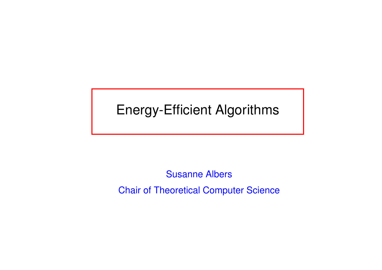## Energy-Efficient Algorithms

Susanne AlbersChair of Theoretical Computer Science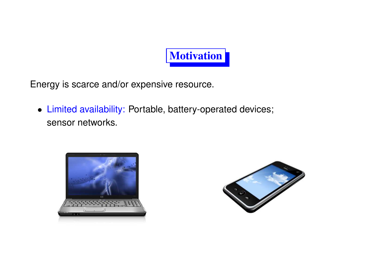

Energy is scarce and/or expensive resource.

• Limited availability: Portable, battery-operated devices; sensor networks.



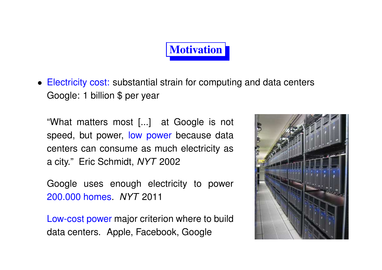## **Motivation**

• Electricity cost: substantial strain for computing and data centers Google: <sup>1</sup> billion \$ per year

"What matters most [...] at Google is not speed, but power, <mark>low powe</mark>r because data centers can consume as much electricity as<sup>a</sup> city." Eric Schmidt, *NYT* <sup>2002</sup>

Google uses enough electricity to power200.000 homes. *NYT* <sup>2011</sup>

Low-cost power major criterion where to builddata centers. Apple, Facebook, Google

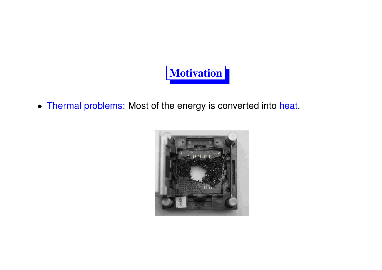

• Thermal problems: Most of the energy is converted into heat.

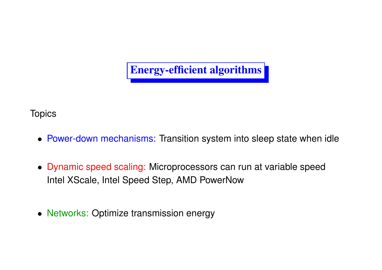

**Topics** 

- Power-down mechanisms: Transition system into sleep state when idle
- Dynamic speed scaling: Microprocessors can run at variable speedIntel XScale, Intel Speed Step, AMD PowerNow
- Networks: Optimize transmission energy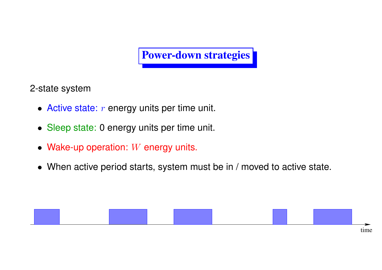#### Power-down strategies

2-state system

- $\bullet\,$  Active state:  $r$  energy units per time unit.
- Sleep state: <sup>0</sup> energy units per time unit.
- Wake-up operation:  $W$  energy units.
- When active period starts, system must be in / moved to active state.

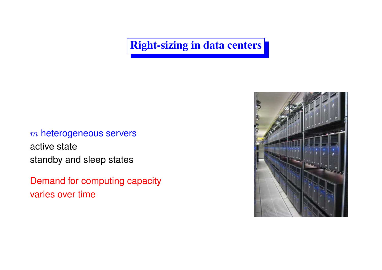#### Right-sizing in data centers

### $m$  heterogeneous servers

active statestandby and sleep states

Demand for computing capacityvaries over time

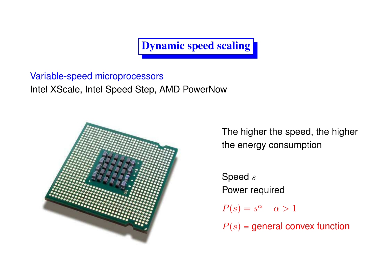Dynamic speed scaling

Variable-speed microprocessorsIntel XScale, Intel Speed Step, AMD PowerNow



The higher the speed, the higherthe energy consumption

Speed  $s$ Power required $P(s) = s^{\alpha} \quad \alpha > 1$  $P(s)$  = general convex function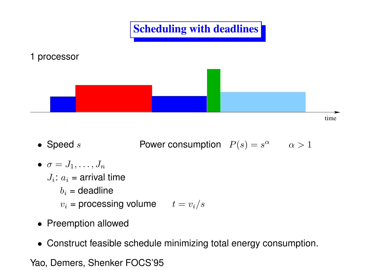

- Speed  $s$  $s$  Power consumption  $P(s) = s^{\alpha}$   $\alpha > 1$
- $\bullet\ \ \sigma=J_1,\ldots,J_n$  $J_i$ :  $a_i$  = arrival time : $\displaystyle{b_i}$  = deadline  $v_i$  = processing volume  $\qquad t=v_i/s$
- Preemption allowed
- Construct feasible schedule minimizing total energy consumption.

Yao, Demers, Shenker FOCS'95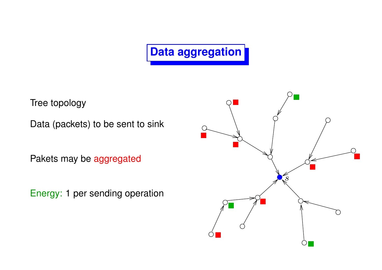# **Data aggregation**

Tree topology

Data (packets) to be sent to sink

Pakets may be <mark>aggregated</mark>

Energy: 1 per sending operation

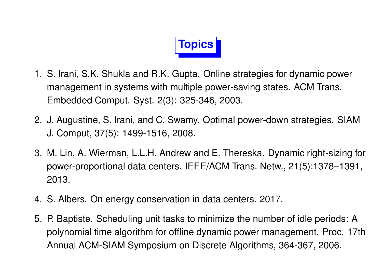

- 1. S. Irani, S.K. Shukla and R.K. Gupta. Online strategies for dynamic powermanagement in systems with multiple power-saving states. ACM Trans. Embedded Comput. Syst. 2(3): 325-346, 2003.
- 2. J. Augustine, S. Irani, and C. Swamy. Optimal power-down strategies. SIAMJ. Comput, 37(5): 1499-1516, 2008.
- 3. M. Lin, A. Wierman, L.L.H. Andrew and E. Thereska. Dynamic right-sizing for power-proportional data centers. IEEE/ACM Trans. Netw., 21(5):1378–1391, 2013.
- 4. S. Albers. On energy conservation in data centers. 2017.
- 5. P. Baptiste. Scheduling unit tasks to minimize the number of idle periods: <sup>A</sup> polynomial time algorithm for offline dynamic power management. Proc. 17thAnnual ACM-SIAM Symposium on Discrete Algorithms, 364-367, 2006.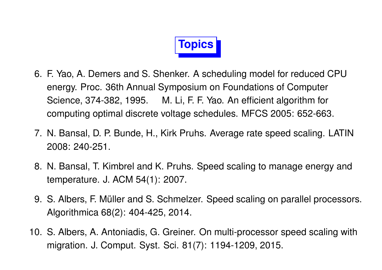

- 6. F. Yao, A. Demers and S. Shenker. A scheduling model for reduced CPUenergy. Proc. 36th Annual Symposium on Foundations of ComputerScience, 374-382, 1995. M. Li, F. F. Yao. An efficient algorithm forcomputing optimal discrete voltage schedules. MFCS 2005: 652-663.
- 7. N. Bansal, D. P. Bunde, H., Kirk Pruhs. Average rate speed scaling. LATIN2008: 240-251.
- 8. N. Bansal, T. Kimbrel and K. Pruhs. Speed scaling to manage energy and temperature. J. ACM 54(1): 2007.
- 9. S. Albers, F. Müller and S. Schmelzer. Speed scaling on parallel processors. Algorithmica 68(2): 404-425, 2014.
- 10. S. Albers, A. Antoniadis, G. Greiner. On multi-processor speed scaling withmigration. J. Comput. Syst. Sci. 81(7): 1194-1209, 2015.